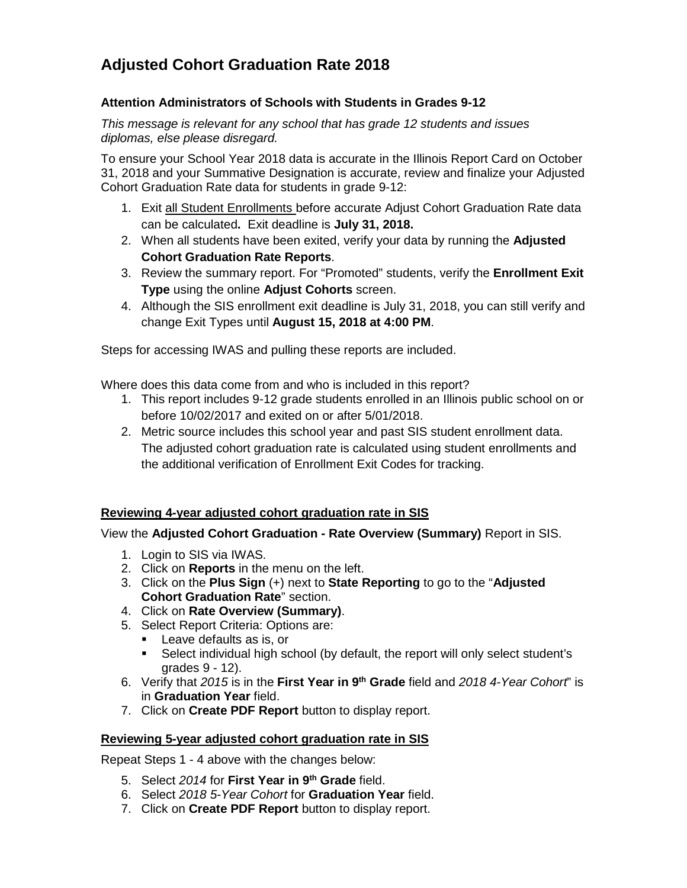# **Adjusted Cohort Graduation Rate 2018**

#### **Attention Administrators of Schools with Students in Grades 9-12**

*This message is relevant for any school that has grade 12 students and issues diplomas, else please disregard.*

To ensure your School Year 2018 data is accurate in the Illinois Report Card on October 31, 2018 and your Summative Designation is accurate, review and finalize your Adjusted Cohort Graduation Rate data for students in grade 9-12:

- 1. Exit all Student Enrollments before accurate Adjust Cohort Graduation Rate data can be calculated**.** Exit deadline is **July 31, 2018.**
- 2. When all students have been exited, verify your data by running the **Adjusted Cohort Graduation Rate Reports**.
- 3. Review the summary report. For "Promoted" students, verify the **Enrollment Exit Type** using the online **Adjust Cohorts** screen.
- 4. Although the SIS enrollment exit deadline is July 31, 2018, you can still verify and change Exit Types until **August 15, 2018 at 4:00 PM**.

Steps for accessing IWAS and pulling these reports are included.

Where does this data come from and who is included in this report?

- 1. This report includes 9-12 grade students enrolled in an Illinois public school on or before 10/02/2017 and exited on or after 5/01/2018.
- 2. Metric source includes this school year and past SIS student enrollment data. The adjusted cohort graduation rate is calculated using student enrollments and the additional verification of Enrollment Exit Codes for tracking.

## **Reviewing 4-year adjusted cohort graduation rate in SIS**

View the **Adjusted Cohort Graduation - Rate Overview (Summary)** Report in SIS.

- 1. Login to SIS via IWAS.
- 2. Click on **Reports** in the menu on the left.
- 3. Click on the **Plus Sign** (+) next to **State Reporting** to go to the "**Adjusted Cohort Graduation Rate**" section.
- 4. Click on **Rate Overview (Summary)**.
- 5. Select Report Criteria: Options are:
	- Leave defaults as is, or
	- Select individual high school (by default, the report will only select student's grades 9 - 12).
- 6. Verify that *2015* is in the **First Year in 9th Grade** field and *2018 4-Year Cohort*" is in **Graduation Year** field.
- 7. Click on **Create PDF Report** button to display report.

## **Reviewing 5-year adjusted cohort graduation rate in SIS**

Repeat Steps 1 - 4 above with the changes below:

- 5. Select *2014* for **First Year in 9th Grade** field.
- 6. Select *2018 5-Year Cohort* for **Graduation Year** field.
- 7. Click on **Create PDF Report** button to display report.